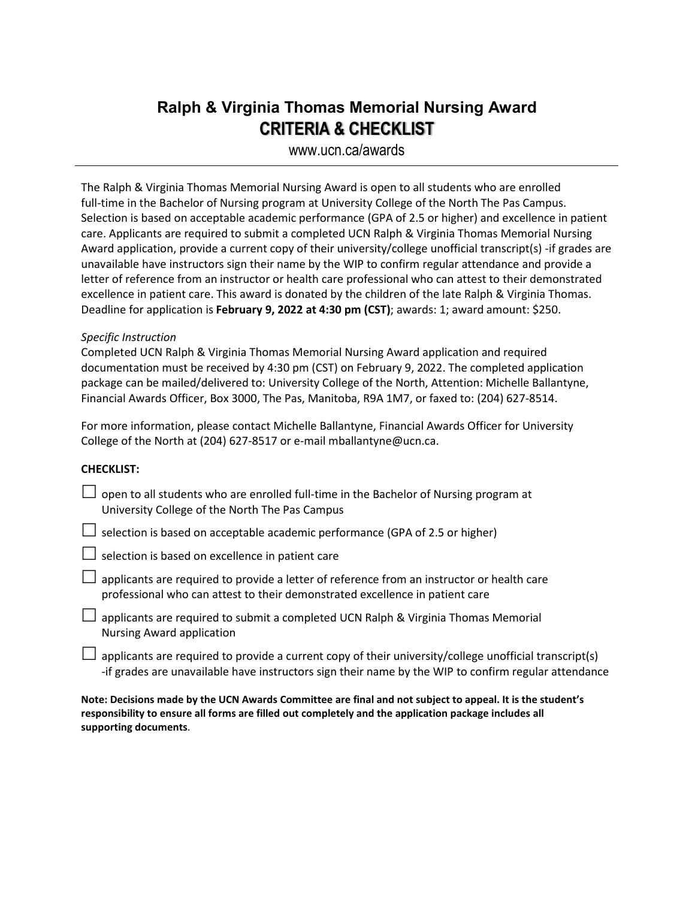## **Ralph & Virginia Thomas Memorial Nursing Award CRITERIA & CHECKLIST**

www.ucn.ca/awards

The Ralph & Virginia Thomas Memorial Nursing Award is open to all students who are enrolled full-time in the Bachelor of Nursing program at University College of the North The Pas Campus. Selection is based on acceptable academic performance (GPA of 2.5 or higher) and excellence in patient care. Applicants are required to submit a completed UCN Ralph & Virginia Thomas Memorial Nursing Award application, provide a current copy of their university/college unofficial transcript(s) -if grades are unavailable have instructors sign their name by the WIP to confirm regular attendance and provide a letter of reference from an instructor or health care professional who can attest to their demonstrated excellence in patient care. This award is donated by the children of the late Ralph & Virginia Thomas. Deadline for application is **February 9, 2022 at 4:30 pm (CST)**; awards: 1; award amount: \$250.

## *Specific Instruction*

Completed UCN Ralph & Virginia Thomas Memorial Nursing Award application and required documentation must be received by 4:30 pm (CST) on February 9, 2022. The completed application package can be mailed/delivered to: University College of the North, Attention: Michelle Ballantyne, Financial Awards Officer, Box 3000, The Pas, Manitoba, R9A 1M7, or faxed to: (204) 627-8514.

For more information, please contact Michelle Ballantyne, Financial Awards Officer for University College of the North at (204) 627-8517 or e-mail mballantyne@ucn.ca.

## **CHECKLIST:**

- $\Box$  open to all students who are enrolled full-time in the Bachelor of Nursing program at University College of the North The Pas Campus
- $\Box$  selection is based on acceptable academic performance (GPA of 2.5 or higher)

 $\Box$  selection is based on excellence in patient care

- $\Box$  applicants are required to provide a letter of reference from an instructor or health care professional who can attest to their demonstrated excellence in patient care
- $\Box$  applicants are required to submit a completed UCN Ralph & Virginia Thomas Memorial Nursing Award application
- $\Box$  applicants are required to provide a current copy of their university/college unofficial transcript(s) -if grades are unavailable have instructors sign their name by the WIP to confirm regular attendance

**Note: Decisions made by the UCN Awards Committee are final and not subject to appeal. It is the student's responsibility to ensure all forms are filled out completely and the application package includes all supporting documents**.